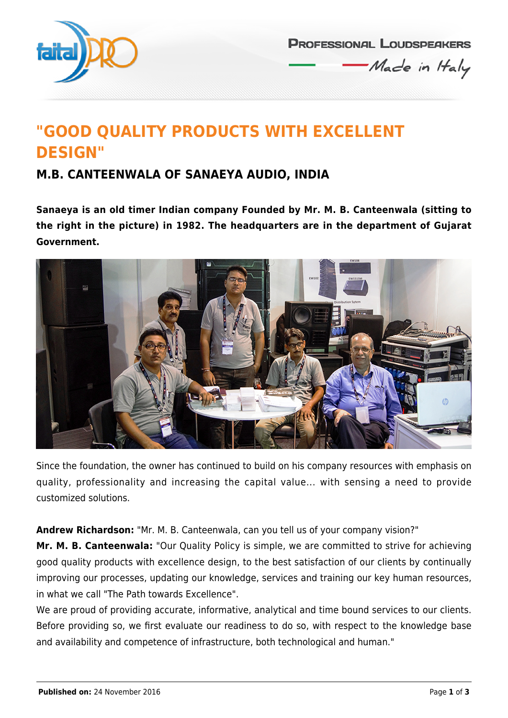

**PROFESSIONAL LOUDSPEAKERS** Made in Haly

# **"GOOD QUALITY PRODUCTS WITH EXCELLENT DESIGN"**

### **M.B. CANTEENWALA OF SANAEYA AUDIO, INDIA**

**Sanaeya is an old timer Indian company Founded by Mr. M. B. Canteenwala (sitting to the right in the picture) in 1982. The headquarters are in the department of Gujarat Government.**



Since the foundation, the owner has continued to build on his company resources with emphasis on quality, professionality and increasing the capital value... with sensing a need to provide customized solutions.

**Andrew Richardson:** "Mr. M. B. Canteenwala, can you tell us of your company vision?"

**Mr. M. B. Canteenwala:** "Our Quality Policy is simple, we are committed to strive for achieving good quality products with excellence design, to the best satisfaction of our clients by continually improving our processes, updating our knowledge, services and training our key human resources, in what we call "The Path towards Excellence".

We are proud of providing accurate, informative, analytical and time bound services to our clients. Before providing so, we first evaluate our readiness to do so, with respect to the knowledge base and availability and competence of infrastructure, both technological and human."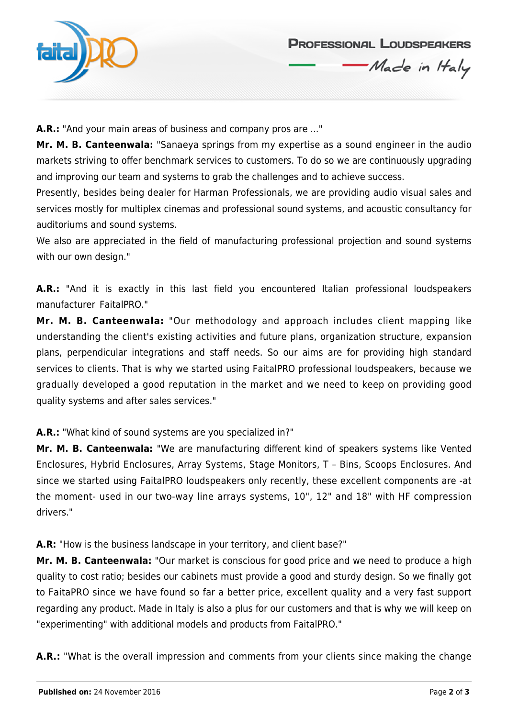

## **PROFESSIONAL LOUDSPEAKERS**

Made in Haly

**A.R.:** "And your main areas of business and company pros are ..."

**Mr. M. B. Canteenwala:** "Sanaeya springs from my expertise as a sound engineer in the audio markets striving to offer benchmark services to customers. To do so we are continuously upgrading and improving our team and systems to grab the challenges and to achieve success.

Presently, besides being dealer for Harman Professionals, we are providing audio visual sales and services mostly for multiplex cinemas and professional sound systems, and acoustic consultancy for auditoriums and sound systems.

We also are appreciated in the field of manufacturing professional projection and sound systems with our own design."

A.R.: "And it is exactly in this last field you encountered Italian professional loudspeakers manufacturer FaitalPRO."

**Mr. M. B. Canteenwala:** "Our methodology and approach includes client mapping like understanding the client's existing activities and future plans, organization structure, expansion plans, perpendicular integrations and staff needs. So our aims are for providing high standard services to clients. That is why we started using FaitalPRO professional loudspeakers, because we gradually developed a good reputation in the market and we need to keep on providing good quality systems and after sales services."

**A.R.:** "What kind of sound systems are you specialized in?"

**Mr. M. B. Canteenwala:** "We are manufacturing different kind of speakers systems like Vented Enclosures, Hybrid Enclosures, Array Systems, Stage Monitors, T – Bins, Scoops Enclosures. And since we started using FaitalPRO loudspeakers only recently, these excellent components are -at the moment- used in our two-way line arrays systems, 10", 12" and 18" with HF compression drivers."

**A.R:** "How is the business landscape in your territory, and client base?"

**Mr. M. B. Canteenwala:** "Our market is conscious for good price and we need to produce a high quality to cost ratio; besides our cabinets must provide a good and sturdy design. So we finally got to FaitaPRO since we have found so far a better price, excellent quality and a very fast support regarding any product. Made in Italy is also a plus for our customers and that is why we will keep on "experimenting" with additional models and products from FaitalPRO."

**A.R.:** "What is the overall impression and comments from your clients since making the change